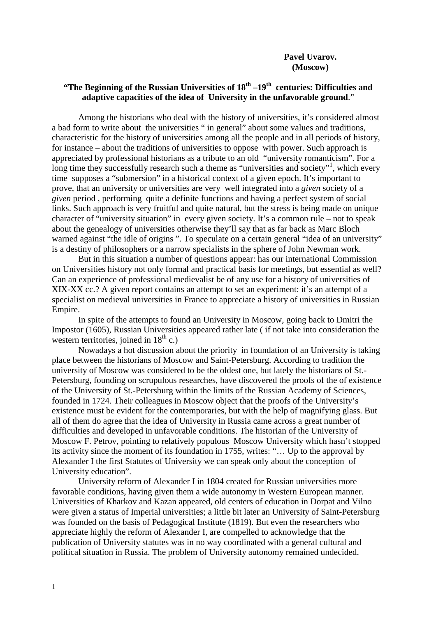## **"The Beginning of the Russian Universities of 18th –19th centuries: Difficulties and adaptive capacities of the idea of University in the unfavorable ground**."

Among the historians who deal with the history of universities, it's considered almost a bad form to write about the universities " in general" about some values and traditions, characteristic for the history of universities among all the people and in all periods of history, for instance – about the traditions of universities to oppose with power. Such approach is appreciated by professional historians as a tribute to an old "university romanticism". For a long time they successfully research such a theme as "universities and society"<sup>[1](#page-8-0)</sup>, which every time supposes a "submersion" in a historical context of a given epoch. It's important to prove, that an university or universities are very well integrated into a *given* society of a *given* period , performing quite a definite functions and having a perfect system of social links. Such approach is very fruitful and quite natural, but the stress is being made on unique character of "university situation" in every given society. It's a common rule – not to speak about the genealogy of universities otherwise they'll say that as far back as Marc Bloch warned against "the idle of origins ". To speculate on a certain general "idea of an university" is a destiny of philosophers or a narrow specialists in the sphere of John Newman work.

But in this situation a number of questions appear: has our international Commission on Universities history not only formal and practical basis for meetings, but essential as well? Can an experience of professional medievalist be of any use for a history of universities of XIX-XX cc.? A given report contains an attempt to set an experiment: it's an attempt of a specialist on medieval universities in France to appreciate a history of universities in Russian Empire.

In spite of the attempts to found an University in Moscow, going back to Dmitri the Impostor (1605), Russian Universities appeared rather late ( if not take into consideration the western territories, joined in  $18<sup>th</sup>$  c.)

Nowadays a hot discussion about the priority in foundation of an University is taking place between the historians of Moscow and Saint-Petersburg. According to tradition the university of Moscow was considered to be the oldest one, but lately the historians of St.- Petersburg, founding on scrupulous researches, have discovered the proofs of the of existence of the University of St.-Petersburg within the limits of the Russian Academy of Sciences, founded in 1724. Their colleagues in Moscow object that the proofs of the University's existence must be evident for the contemporaries, but with the help of magnifying glass. But all of them do agree that the idea of University in Russia came across a great number of difficulties and developed in unfavorable conditions. The historian of the University of Moscow F. Petrov, pointing to relatively populous Moscow University which hasn't stopped its activity since the moment of its foundation in 1755, writes: "… Up to the approval by Alexander I the first Statutes of University we can speak only about the conception of University education".

University reform of Alexander I in 1804 created for Russian universities more favorable conditions, having given them a wide autonomy in Western European manner. Universities of Kharkov and Kazan appeared, old centers of education in Dorpat and Vilno were given a status of Imperial universities; a little bit later an University of Saint-Petersburg was founded on the basis of Pedagogical Institute (1819). But even the researchers who appreciate highly the reform of Alexander I, are compelled to acknowledge that the publication of University statutes was in no way coordinated with a general cultural and political situation in Russia. The problem of University autonomy remained undecided.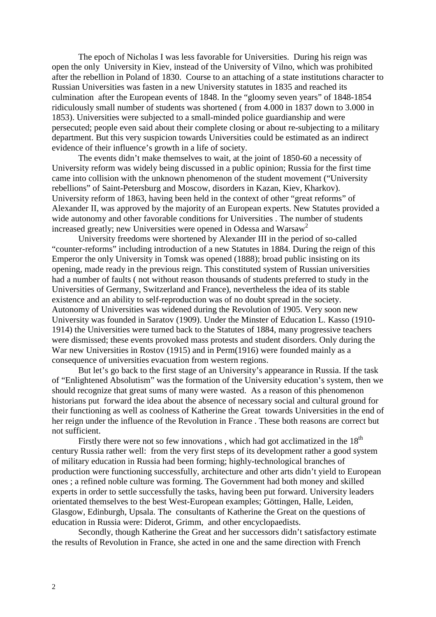The epoch of Nicholas I was less favorable for Universities. During his reign was open the only University in Kiev, instead of the University of Vilno, which was prohibited after the rebellion in Poland of 1830. Course to an attaching of a state institutions character to Russian Universities was fasten in a new University statutes in 1835 and reached its culmination after the European events of 1848. In the "gloomy seven years" of 1848-1854 ridiculously small number of students was shortened ( from 4.000 in 1837 down to 3.000 in 1853). Universities were subjected to a small-minded police guardianship and were persecuted; people even said about their complete closing or about re-subjecting to a military department. But this very suspicion towards Universities could be estimated as an indirect evidence of their influence's growth in a life of society.

The events didn't make themselves to wait, at the joint of 1850-60 a necessity of University reform was widely being discussed in a public opinion; Russia for the first time came into collision with the unknown phenomenon of the student movement ("University rebellions" of Saint-Petersburg and Moscow, disorders in Kazan, Kiev, Kharkov). University reform of 1863, having been held in the context of other "great reforms" of Alexander II, was approved by the majority of an European experts. New Statutes provided a wide autonomy and other favorable conditions for Universities . The number of students increased greatly; new Universities were opened in Odessa and Warsaw<sup>[2](#page-8-0)</sup>

University freedoms were shortened by Alexander III in the period of so-called "counter-reforms" including introduction of a new Statutes in 1884. During the reign of this Emperor the only University in Tomsk was opened (1888); broad public insisting on its opening, made ready in the previous reign. This constituted system of Russian universities had a number of faults ( not without reason thousands of students preferred to study in the Universities of Germany, Switzerland and France), nevertheless the idea of its stable existence and an ability to self-reproduction was of no doubt spread in the society. Autonomy of Universities was widened during the Revolution of 1905. Very soon new University was founded in Saratov (1909). Under the Minster of Education L. Kasso (1910- 1914) the Universities were turned back to the Statutes of 1884, many progressive teachers were dismissed; these events provoked mass protests and student disorders. Only during the War new Universities in Rostov (1915) and in Perm(1916) were founded mainly as a consequence of universities evacuation from western regions.

But let's go back to the first stage of an University's appearance in Russia. If the task of "Enlightened Absolutism" was the formation of the University education's system, then we should recognize that great sums of many were wasted. As a reason of this phenomenon historians put forward the idea about the absence of necessary social and cultural ground for their functioning as well as coolness of Katherine the Great towards Universities in the end of her reign under the influence of the Revolution in France . These both reasons are correct but not sufficient.

Firstly there were not so few innovations, which had got acclimatized in the  $18<sup>th</sup>$ century Russia rather well: from the very first steps of its development rather a good system of military education in Russia had been forming; highly-technological branches of production were functioning successfully, architecture and other arts didn't yield to European ones ; a refined noble culture was forming. The Government had both money and skilled experts in order to settle successfully the tasks, having been put forward. University leaders orientated themselves to the best West-European examples; Göttingen, Halle, Leiden, Glasgow, Edinburgh, Upsala. The consultants of Katherine the Great on the questions of education in Russia were: Diderot, Grimm, and other encyclopaedists.

Secondly, though Katherine the Great and her successors didn't satisfactory estimate the results of Revolution in France, she acted in one and the same direction with French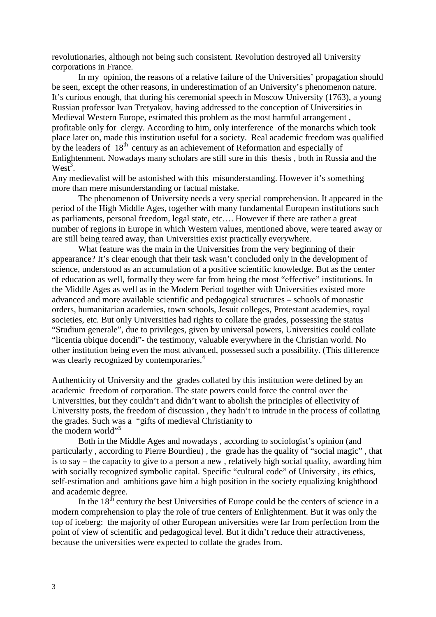revolutionaries, although not being such consistent. Revolution destroyed all University corporations in France.

In my opinion, the reasons of a relative failure of the Universities' propagation should be seen, except the other reasons, in underestimation of an University's phenomenon nature. It's curious enough, that during his ceremonial speech in Moscow University (1763), a young Russian professor Ivan Tretyakov, having addressed to the conception of Universities in Medieval Western Europe, estimated this problem as the most harmful arrangement , profitable only for clergy. According to him, only interference of the monarchs which took place later on, made this institution useful for a society. Real academic freedom was qualified by the leaders of  $18<sup>th</sup>$  century as an achievement of Reformation and especially of Enlightenment. Nowadays many scholars are still sure in this thesis , both in Russia and the  $West<sup>3</sup>$ .

Any medievalist will be astonished with this misunderstanding. However it's something more than mere misunderstanding or factual mistake.

The phenomenon of University needs a very special comprehension. It appeared in the period of the High Middle Ages, together with many fundamental European institutions such as parliaments, personal freedom, legal state, etc…. However if there are rather a great number of regions in Europe in which Western values, mentioned above, were teared away or are still being teared away, than Universities exist practically everywhere.

What feature was the main in the Universities from the very beginning of their appearance? It's clear enough that their task wasn't concluded only in the development of science, understood as an accumulation of a positive scientific knowledge. But as the center of education as well, formally they were far from being the most "effective" institutions. In the Middle Ages as well as in the Modern Period together with Universities existed more advanced and more available scientific and pedagogical structures – schools of monastic orders, humanitarian academies, town schools, Jesuit colleges, Protestant academies, royal societies, etc. But only Universities had rights to collate the grades, possessing the status "Studium generale", due to privileges, given by universal powers, Universities could collate "licentia ubique docendi"- the testimony, valuable everywhere in the Christian world. No other institution being even the most advanced, possessed such a possibility. (This difference was clearly recognized by contemporaries.<sup>[4](#page-8-0)</sup>

Authenticity of University and the grades collated by this institution were defined by an academic freedom of corporation. The state powers could force the control over the Universities, but they couldn't and didn't want to abolish the principles of ellectivity of University posts, the freedom of discussion , they hadn't to intrude in the process of collating the grades. Such was a "gifts of medieval Christianity to the modern world"<sup>[5](#page-8-0)</sup>

Both in the Middle Ages and nowadays , according to sociologist's opinion (and particularly , according to Pierre Bourdieu) , the grade has the quality of "social magic" , that is to say – the capacity to give to a person a new , relatively high social quality, awarding him with socially recognized symbolic capital. Specific "cultural code" of University, its ethics, self-estimation and ambitions gave him a high position in the society equalizing knighthood and academic degree.

In the 18<sup>th</sup> century the best Universities of Europe could be the centers of science in a modern comprehension to play the role of true centers of Enlightenment. But it was only the top of iceberg: the majority of other European universities were far from perfection from the point of view of scientific and pedagogical level. But it didn't reduce their attractiveness, because the universities were expected to collate the grades from.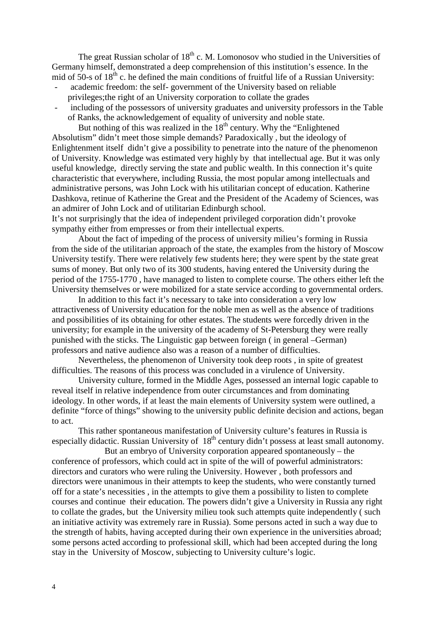The great Russian scholar of  $18<sup>th</sup>$  c. M. Lomonosov who studied in the Universities of Germany himself, demonstrated a deep comprehension of this institution's essence. In the mid of 50-s of  $18<sup>th</sup>$  c. he defined the main conditions of fruitful life of a Russian University:

- academic freedom: the self- government of the University based on reliable privileges;the right of an University corporation to collate the grades
- including of the possessors of university graduates and university professors in the Table of Ranks, the acknowledgement of equality of university and noble state.

But nothing of this was realized in the  $18<sup>th</sup>$  century. Why the "Enlightened" Absolutism" didn't meet those simple demands? Paradoxically , but the ideology of Enlightenment itself didn't give a possibility to penetrate into the nature of the phenomenon of University. Knowledge was estimated very highly by that intellectual age. But it was only useful knowledge, directly serving the state and public wealth. In this connection it's quite characteristic that everywhere, including Russia, the most popular among intellectuals and administrative persons, was John Lock with his utilitarian concept of education. Katherine Dashkova, retinue of Katherine the Great and the President of the Academy of Sciences, was an admirer of John Lock and of utilitarian Edinburgh school.

It's not surprisingly that the idea of independent privileged corporation didn't provoke sympathy either from empresses or from their intellectual experts.

About the fact of impeding of the process of university milieu's forming in Russia from the side of the utilitarian approach of the state, the examples from the history of Moscow University testify. There were relatively few students here; they were spent by the state great sums of money. But only two of its 300 students, having entered the University during the period of the 1755-1770 , have managed to listen to complete course. The others either left the University themselves or were mobilized for a state service according to governmental orders.

In addition to this fact it's necessary to take into consideration a very low attractiveness of University education for the noble men as well as the absence of traditions and possibilities of its obtaining for other estates. The students were forcedly driven in the university; for example in the university of the academy of St-Petersburg they were really punished with the sticks. The Linguistic gap between foreign ( in general –German) professors and native audience also was a reason of a number of difficulties.

Nevertheless, the phenomenon of University took deep roots , in spite of greatest difficulties. The reasons of this process was concluded in a virulence of University.

University culture, formed in the Middle Ages, possessed an internal logic capable to reveal itself in relative independence from outer circumstances and from dominating ideology. In other words, if at least the main elements of University system were outlined, a definite "force of things" showing to the university public definite decision and actions, began to act.

This rather spontaneous manifestation of University culture's features in Russia is especially didactic. Russian University of 18<sup>th</sup> century didn't possess at least small autonomy.

But an embryo of University corporation appeared spontaneously – the conference of professors, which could act in spite of the will of powerful administrators: directors and curators who were ruling the University. However , both professors and directors were unanimous in their attempts to keep the students, who were constantly turned off for a state's necessities , in the attempts to give them a possibility to listen to complete courses and continue their education. The powers didn't give a University in Russia any right to collate the grades, but the University milieu took such attempts quite independently ( such an initiative activity was extremely rare in Russia). Some persons acted in such a way due to the strength of habits, having accepted during their own experience in the universities abroad; some persons acted according to professional skill, which had been accepted during the long stay in the University of Moscow, subjecting to University culture's logic.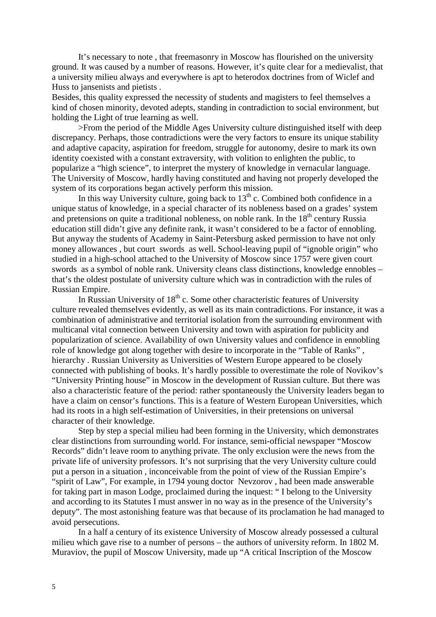It's necessary to note , that freemasonry in Moscow has flourished on the university ground. It was caused by a number of reasons. However, it's quite clear for a medievalist, that a university milieu always and everywhere is apt to heterodox doctrines from of Wiclef and Huss to jansenists and pietists .

Besides, this quality expressed the necessity of students and magisters to feel themselves a kind of chosen minority, devoted adepts, standing in contradiction to social environment, but holding the Light of true learning as well.

>From the period of the Middle Ages University culture distinguished itself with deep discrepancy. Perhaps, those contradictions were the very factors to ensure its unique stability and adaptive capacity, aspiration for freedom, struggle for autonomy, desire to mark its own identity coexisted with a constant extraversity, with volition to enlighten the public, to popularize a "high science", to interpret the mystery of knowledge in vernacular language. The University of Moscow, hardly having constituted and having not properly developed the system of its corporations began actively perform this mission.

In this way University culture, going back to  $13<sup>th</sup>$  c. Combined both confidence in a unique status of knowledge, in a special character of its nobleness based on a grades' system and pretensions on quite a traditional nobleness, on noble rank. In the 18<sup>th</sup> century Russia education still didn't give any definite rank, it wasn't considered to be a factor of ennobling. But anyway the students of Academy in Saint-Petersburg asked permission to have not only money allowances , but court swords as well. School-leaving pupil of "ignoble origin" who studied in a high-school attached to the University of Moscow since 1757 were given court swords as a symbol of noble rank. University cleans class distinctions, knowledge ennobles – that's the oldest postulate of university culture which was in contradiction with the rules of Russian Empire.

In Russian University of  $18<sup>th</sup>$  c. Some other characteristic features of University culture revealed themselves evidently, as well as its main contradictions. For instance, it was a combination of administrative and territorial isolation from the surrounding environment with multicanal vital connection between University and town with aspiration for publicity and popularization of science. Availability of own University values and confidence in ennobling role of knowledge got along together with desire to incorporate in the "Table of Ranks" , hierarchy . Russian University as Universities of Western Europe appeared to be closely connected with publishing of books. It's hardly possible to overestimate the role of Novikov's "University Printing house" in Moscow in the development of Russian culture. But there was also a characteristic feature of the period: rather spontaneously the University leaders began to have a claim on censor's functions. This is a feature of Western European Universities, which had its roots in a high self-estimation of Universities, in their pretensions on universal character of their knowledge.

Step by step a special milieu had been forming in the University, which demonstrates clear distinctions from surrounding world. For instance, semi-official newspaper "Moscow Records" didn't leave room to anything private. The only exclusion were the news from the private life of university professors. It's not surprising that the very University culture could put a person in a situation , inconceivable from the point of view of the Russian Empire's "spirit of Law", For example, in 1794 young doctor Nevzorov , had been made answerable for taking part in mason Lodge, proclaimed during the inquest: " I belong to the University and according to its Statutes I must answer in no way as in the presence of the University's deputy". The most astonishing feature was that because of its proclamation he had managed to avoid persecutions.

In a half a century of its existence University of Moscow already possessed a cultural milieu which gave rise to a number of persons – the authors of university reform. In 1802 M. Muraviov, the pupil of Moscow University, made up "A critical Inscription of the Moscow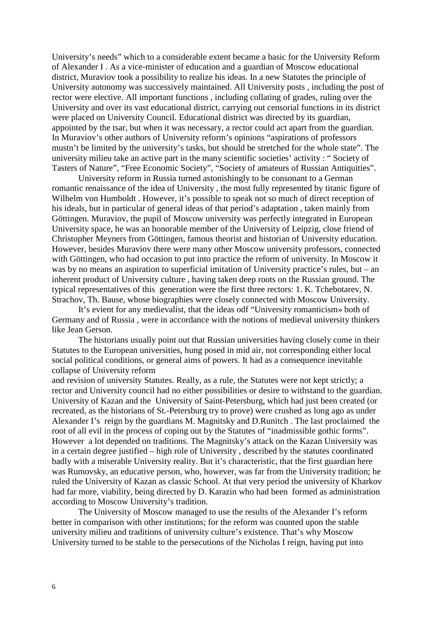University's needs" which to a considerable extent became a basic for the University Reform of Alexander I . As a vice-minister of education and a guardian of Moscow educational district, Muraviov took a possibility to realize his ideas. In a new Statutes the principle of University autonomy was successively maintained. All University posts , including the post of rector were elective. All important functions , including collating of grades, ruling over the University and over its vast educational district, carrying out censorial functions in its district were placed on University Council. Educational district was directed by its guardian, appointed by the tsar, but when it was necessary, a rector could act apart from the guardian. In Muraviov's other authors of University reform's opinions "aspirations of professors mustn't be limited by the university's tasks, but should be stretched for the whole state". The university milieu take an active part in the many scientific societies' activity : " Society of Tasters of Nature", "Free Economic Society", "Society of amateurs of Russian Antiquities".

University reform in Russia turned astonishingly to be consonant to a German romantic renaissance of the idea of University , the most fully represented by titanic figure of Wilhelm von Humboldt. However, it's possible to speak not so much of direct reception of his ideals, but in particular of general ideas of that period's adaptation , taken mainly from Göttingen. Muraviov, the pupil of Moscow university was perfectly integrated in European University space, he was an honorable member of the University of Leipzig, close friend of Christopher Meyners from Göttingen, famous theorist and historian of University education. However, besides Muraviov there were many other Moscow university professors, connected with Göttingen, who had occasion to put into practice the reform of university. In Moscow it was by no means an aspiration to superficial imitation of University practice's rules, but – an inherent product of University culture , having taken deep roots on the Russian ground. The typical representatives of this generation were the first three rectors: 1. K. Tchebotarev, N. Strachov, Th. Bause, whose biographies were closely connected with Moscow University.

It's evient for any medievalist, that the ideas odf "University romanticism» both of Germany and of Russia , were in accordance with the notions of medieval university thinkers like Jean Gerson.

The historians usually point out that Russian universities having closely come in their Statutes to the European universities, hung posed in mid air, not corresponding either local social political conditions, or general aims of powers. It had as a consequence inevitable collapse of University reform

and revision of university Statutes. Really, as a rule, the Statutes were not kept strictly; a rector and University council had no either possibilities or desire to withstand to the guardian. University of Kazan and the University of Saint-Petersburg, which had just been created (or recreated, as the historians of St.-Petersburg try to prove) were crushed as long ago as under Alexander I's reign by the guardians M. Magnitsky and D.Runitch . The last proclaimed the root of all evil in the process of coping out by the Statutes of "inadmissible gothic forms". However a lot depended on traditions. The Magnitsky's attack on the Kazan University was in a certain degree justified – high role of University , described by the statutes coordinated badly with a miserable University reality. But it's characteristic, that the first guardian here was Rumovsky, an educative person, who, however, was far from the University tradition; he ruled the University of Kazan as classic School. At that very period the university of Kharkov had far more, viability, being directed by D. Karazin who had been formed as administration according to Moscow University's tradition.

The University of Moscow managed to use the results of the Alexander I's reform better in comparison with other institutions; for the reform was counted upon the stable university milieu and traditions of university culture's existence. That's why Moscow University turned to be stable to the persecutions of the Nicholas I reign, having put into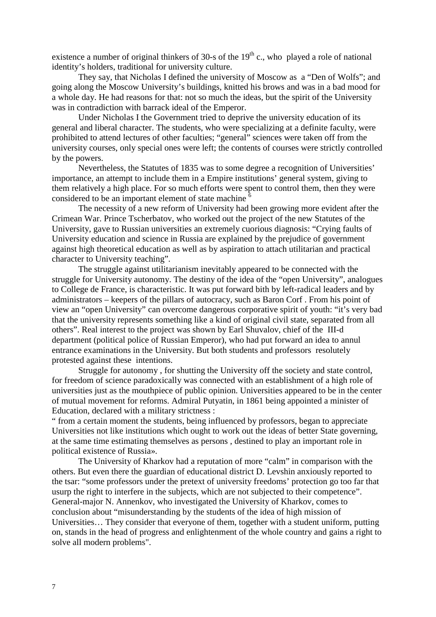existence a number of original thinkers of 30-s of the  $19<sup>th</sup>$  c., who played a role of national identity's holders, traditional for university culture.

They say, that Nicholas I defined the university of Moscow as a "Den of Wolfs"; and going along the Moscow University's buildings, knitted his brows and was in a bad mood for a whole day. He had reasons for that: not so much the ideas, but the spirit of the University was in contradiction with barrack ideal of the Emperor.

Under Nicholas I the Government tried to deprive the university education of its general and liberal character. The students, who were specializing at a definite faculty, were prohibited to attend lectures of other faculties; "general" sciences were taken off from the university courses, only special ones were left; the contents of courses were strictly controlled by the powers.

Nevertheless, the Statutes of 1835 was to some degree a recognition of Universities' importance, an attempt to include them in a Empire institutions' general system, giving to them relatively a high place. For so much efforts were spent to control them, then they were considered to be an important element of state machine <sup>[6](#page-8-0)</sup>

The necessity of a new reform of University had been growing more evident after the Crimean War. Prince Tscherbatov, who worked out the project of the new Statutes of the University, gave to Russian universities an extremely cuorious diagnosis: "Crying faults of University education and science in Russia are explained by the prejudice of government against high theoretical education as well as by aspiration to attach utilitarian and practical character to University teaching".

The struggle against utilitarianism inevitably appeared to be connected with the struggle for University autonomy. The destiny of the idea of the "open University", analogues to College de France, is characteristic. It was put forward bith by left-radical leaders and by administrators – keepers of the pillars of autocracy, such as Baron Corf . From his point of view an "open University" can overcome dangerous corporative spirit of youth: "it's very bad that the university represents something like a kind of original civil state, separated from all others". Real interest to the project was shown by Earl Shuvalov, chief of the III-d department (political police of Russian Emperor), who had put forward an idea to annul entrance examinations in the University. But both students and professors resolutely protested against these intentions.

Struggle for autonomy , for shutting the University off the society and state control, for freedom of science paradoxically was connected with an establishment of a high role of universities just as the mouthpiece of public opinion. Universities appeared to be in the center of mutual movement for reforms. Admiral Putyatin, in 1861 being appointed a minister of Education, declared with a military strictness :

" from a certain moment the students, being influenced by professors, began to appreciate Universities not like institutions which ought to work out the ideas of better State governing, at the same time estimating themselves as persons , destined to play an important role in political existence of Russia».

The University of Kharkov had a reputation of more "calm" in comparison with the others. But even there the guardian of educational district D. Levshin anxiously reported to the tsar: "some professors under the pretext of university freedoms' protection go too far that usurp the right to interfere in the subjects, which are not subjected to their competence". General-major N. Annenkov, who investigated the University of Kharkov, comes to conclusion about "misunderstanding by the students of the idea of high mission of Universities… They consider that everyone of them, together with a student uniform, putting on, stands in the head of progress and enlightenment of the whole country and gains a right to solve all modern problems".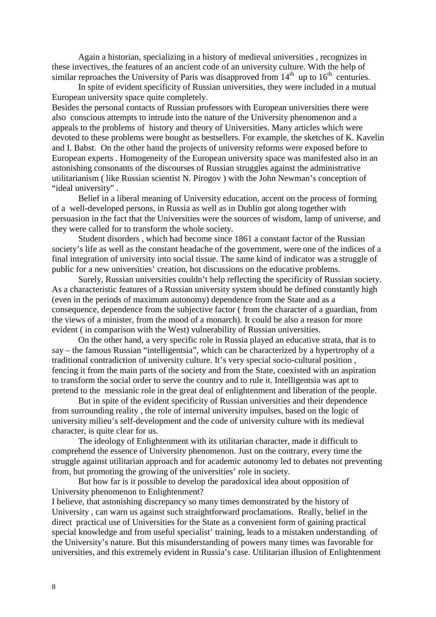Again a historian, specializing in a history of medieval universities , recognizes in these invectives, the features of an ancient code of an university culture. With the help of similar reproaches the University of Paris was disapproved from  $14<sup>th</sup>$  up to  $16<sup>th</sup>$  centuries.

In spite of evident specificity of Russian universities, they were included in a mutual European university space quite completely.

Besides the personal contacts of Russian professors with European universities there were also conscious attempts to intrude into the nature of the University phenomenon and a appeals to the problems of history and theory of Universities. Many articles which were devoted to these problems were bought as bestsellers. For example, the sketches of K. Kavelin and I. Babst. On the other hand the projects of university reforms were exposed before to European experts . Homogeneity of the European university space was manifested also in an astonishing consonants of the discourses of Russian struggles against the administrative utilitarianism ( like Russian scientist N. Pirogov ) with the John Newman's conception of "ideal university".

Belief in a liberal meaning of University education, accent on the process of forming of a well-developed persons, in Russia as well as in Dublin got along together with persuasion in the fact that the Universities were the sources of wisdom, lamp of universe, and they were called for to transform the whole society.

Student disorders , which had become since 1861 a constant factor of the Russian society's life as well as the constant headache of the government, were one of the indices of a final integration of university into social tissue. The same kind of indicator was a struggle of public for a new universities' creation, hot discussions on the educative problems.

Surely, Russian universities couldn't help reflecting the specificity of Russian society. As a characteristic features of a Russian university system should be defined constantly high (even in the periods of maximum autonomy) dependence from the State and as a consequence, dependence from the subjective factor ( from the character of a guardian, from the views of a minister, from the mood of a monarch). It could be also a reason for more evident ( in comparison with the West) vulnerability of Russian universities.

On the other hand, a very specific role in Russia played an educative strata, that is to say – the famous Russian "intelligentsia", which can be characterized by a hypertrophy of a traditional contradiction of university culture. It's very special socio-cultural position , fencing it from the main parts of the society and from the State, coexisted with an aspiration to transform the social order to serve the country and to rule it. Intelligentsia was apt to pretend to the messianic role in the great deal of enlightenment and liberation of the people.

But in spite of the evident specificity of Russian universities and their dependence from surrounding reality , the role of internal university impulses, based on the logic of university milieu's self-development and the code of university culture with its medieval character, is quite clear for us.

The ideology of Enlightenment with its utilitarian character, made it difficult to comprehend the essence of University phenomenon. Just on the contrary, every time the struggle against utilitarian approach and for academic autonomy led to debates not preventing from, but promoting the growing of the universities' role in society.

But how far is it possible to develop the paradoxical idea about opposition of University phenomenon to Enlightenment?

I believe, that astonishing discrepancy so many times demonstrated by the history of University , can warn us against such straightforward proclamations. Really, belief in the direct practical use of Universities for the State as a convenient form of gaining practical special knowledge and from useful specialist' training, leads to a mistaken understanding of the University's nature. But this misunderstanding of powers many times was favorable for universities, and this extremely evident in Russia's case. Utilitarian illusion of Enlightenment